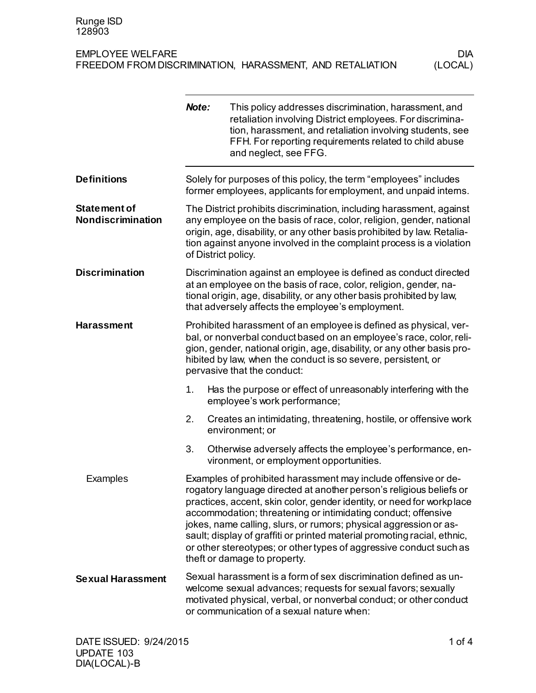|                                                 | Note:                                                                                                                                                                                                                                                                                                                  | This policy addresses discrimination, harassment, and<br>retaliation involving District employees. For discrimina-<br>tion, harassment, and retaliation involving students, see<br>FFH. For reporting requirements related to child abuse<br>and neglect, see FFG.                                                                                                                                                                                                                                                                     |
|-------------------------------------------------|------------------------------------------------------------------------------------------------------------------------------------------------------------------------------------------------------------------------------------------------------------------------------------------------------------------------|----------------------------------------------------------------------------------------------------------------------------------------------------------------------------------------------------------------------------------------------------------------------------------------------------------------------------------------------------------------------------------------------------------------------------------------------------------------------------------------------------------------------------------------|
| <b>Definitions</b>                              | Solely for purposes of this policy, the term "employees" includes<br>former employees, applicants for employment, and unpaid intems.                                                                                                                                                                                   |                                                                                                                                                                                                                                                                                                                                                                                                                                                                                                                                        |
| <b>Statement of</b><br><b>Nondiscrimination</b> | The District prohibits discrimination, including harassment, against<br>any employee on the basis of race, color, religion, gender, national<br>origin, age, disability, or any other basis prohibited by law. Retalia-<br>tion against anyone involved in the complaint process is a violation<br>of District policy. |                                                                                                                                                                                                                                                                                                                                                                                                                                                                                                                                        |
| <b>Discrimination</b>                           |                                                                                                                                                                                                                                                                                                                        | Discrimination against an employee is defined as conduct directed<br>at an employee on the basis of race, color, religion, gender, na-<br>tional origin, age, disability, or any other basis prohibited by law,<br>that adversely affects the employee's employment.                                                                                                                                                                                                                                                                   |
| <b>Harassment</b>                               |                                                                                                                                                                                                                                                                                                                        | Prohibited harassment of an employee is defined as physical, ver-<br>bal, or nonverbal conduct based on an employee's race, color, reli-<br>gion, gender, national origin, age, disability, or any other basis pro-<br>hibited by law, when the conduct is so severe, persistent, or<br>pervasive that the conduct:                                                                                                                                                                                                                    |
|                                                 | 1.                                                                                                                                                                                                                                                                                                                     | Has the purpose or effect of unreasonably interfering with the<br>employee's work performance;                                                                                                                                                                                                                                                                                                                                                                                                                                         |
|                                                 | 2.                                                                                                                                                                                                                                                                                                                     | Creates an intimidating, threatening, hostile, or offensive work<br>environment; or                                                                                                                                                                                                                                                                                                                                                                                                                                                    |
|                                                 | 3.                                                                                                                                                                                                                                                                                                                     | Otherwise adversely affects the employee's performance, en-<br>vironment, or employment opportunities.                                                                                                                                                                                                                                                                                                                                                                                                                                 |
| Examples                                        |                                                                                                                                                                                                                                                                                                                        | Examples of prohibited harassment may include offensive or de-<br>rogatory language directed at another person's religious beliefs or<br>practices, accent, skin color, gender identity, or need for workplace<br>accommodation; threatening or intimidating conduct; offensive<br>jokes, name calling, slurs, or rumors; physical aggression or as-<br>sault; display of graffiti or printed material promoting racial, ethnic,<br>or other stereotypes; or other types of aggressive conduct such as<br>theft or damage to property. |
| <b>Sexual Harassment</b>                        |                                                                                                                                                                                                                                                                                                                        | Sexual harassment is a form of sex discrimination defined as un-<br>welcome sexual advances; requests for sexual favors; sexually<br>motivated physical, verbal, or nonverbal conduct; or other conduct<br>or communication of a sexual nature when:                                                                                                                                                                                                                                                                                   |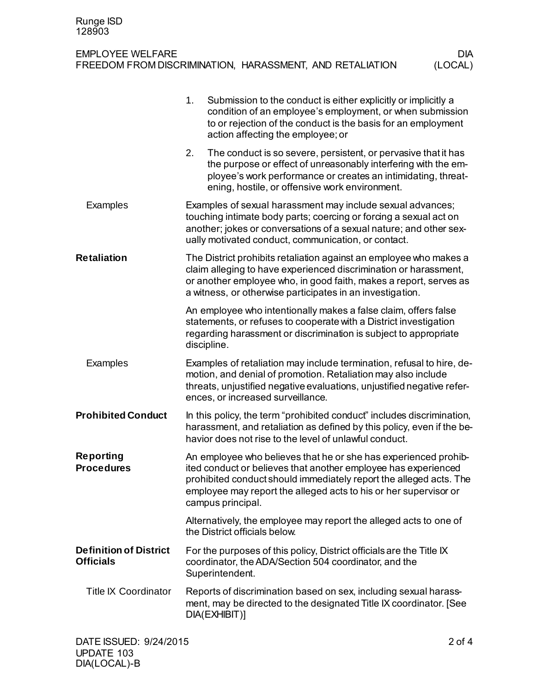|                                                   | 1.<br>Submission to the conduct is either explicitly or implicitly a<br>condition of an employee's employment, or when submission<br>to or rejection of the conduct is the basis for an employment<br>action affecting the employee; or                                                          |  |  |
|---------------------------------------------------|--------------------------------------------------------------------------------------------------------------------------------------------------------------------------------------------------------------------------------------------------------------------------------------------------|--|--|
|                                                   | 2.<br>The conduct is so severe, persistent, or pervasive that it has<br>the purpose or effect of unreasonably interfering with the em-<br>ployee's work performance or creates an intimidating, threat-<br>ening, hostile, or offensive work environment.                                        |  |  |
| Examples                                          | Examples of sexual harassment may include sexual advances;<br>touching intimate body parts; coercing or forcing a sexual act on<br>another; jokes or conversations of a sexual nature; and other sex-<br>ually motivated conduct, communication, or contact.                                     |  |  |
| <b>Retaliation</b>                                | The District prohibits retaliation against an employee who makes a<br>claim alleging to have experienced discrimination or harassment,<br>or another employee who, in good faith, makes a report, serves as<br>a witness, or otherwise participates in an investigation.                         |  |  |
|                                                   | An employee who intentionally makes a false claim, offers false<br>statements, or refuses to cooperate with a District investigation<br>regarding harassment or discrimination is subject to appropriate<br>discipline.                                                                          |  |  |
| Examples                                          | Examples of retaliation may include termination, refusal to hire, de-<br>motion, and denial of promotion. Retaliation may also include<br>threats, unjustified negative evaluations, unjustified negative refer-<br>ences, or increased surveillance.                                            |  |  |
| <b>Prohibited Conduct</b>                         | In this policy, the term "prohibited conduct" includes discrimination,<br>harassment, and retaliation as defined by this policy, even if the be-<br>havior does not rise to the level of unlawful conduct.                                                                                       |  |  |
| Reporting<br><b>Procedures</b>                    | An employee who believes that he or she has experienced prohib-<br>ited conduct or believes that another employee has experienced<br>prohibited conduct should immediately report the alleged acts. The<br>employee may report the alleged acts to his or her supervisor or<br>campus principal. |  |  |
|                                                   | Alternatively, the employee may report the alleged acts to one of<br>the District officials below.                                                                                                                                                                                               |  |  |
| <b>Definition of District</b><br><b>Officials</b> | For the purposes of this policy, District officials are the Title IX<br>coordinator, the ADA/Section 504 coordinator, and the<br>Superintendent.                                                                                                                                                 |  |  |
| <b>Title IX Coordinator</b>                       | Reports of discrimination based on sex, including sexual harass-<br>ment, may be directed to the designated Title IX coordinator. [See<br>DIA(EXHIBIT)]                                                                                                                                          |  |  |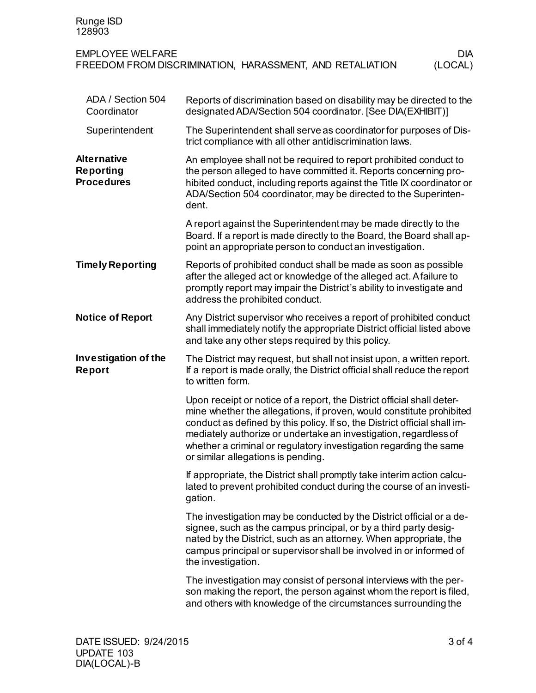| Runge ISD<br>128903                                         |                                                                                                                                                                                                                                                                                                                                                                                                            |
|-------------------------------------------------------------|------------------------------------------------------------------------------------------------------------------------------------------------------------------------------------------------------------------------------------------------------------------------------------------------------------------------------------------------------------------------------------------------------------|
| <b>EMPLOYEE WELFARE</b>                                     | DIA.<br>FREEDOM FROM DISCRIMINATION, HARASSMENT, AND RETALIATION<br>(LOCAL)                                                                                                                                                                                                                                                                                                                                |
| ADA / Section 504<br>Coordinator                            | Reports of discrimination based on disability may be directed to the<br>designated ADA/Section 504 coordinator. [See DIA(EXHIBIT)]                                                                                                                                                                                                                                                                         |
| Superintendent                                              | The Superintendent shall serve as coordinator for purposes of Dis-<br>trict compliance with all other antidiscrimination laws.                                                                                                                                                                                                                                                                             |
| <b>Alternative</b><br><b>Reporting</b><br><b>Procedures</b> | An employee shall not be required to report prohibited conduct to<br>the person alleged to have committed it. Reports concerning pro-<br>hibited conduct, including reports against the Title IX coordinator or<br>ADA/Section 504 coordinator, may be directed to the Superinten-<br>dent.                                                                                                                |
|                                                             | A report against the Superintendent may be made directly to the<br>Board. If a report is made directly to the Board, the Board shall ap-<br>point an appropriate person to conduct an investigation.                                                                                                                                                                                                       |
| <b>Timely Reporting</b>                                     | Reports of prohibited conduct shall be made as soon as possible<br>after the alleged act or knowledge of the alleged act. A failure to<br>promptly report may impair the District's ability to investigate and<br>address the prohibited conduct.                                                                                                                                                          |
| <b>Notice of Report</b>                                     | Any District supervisor who receives a report of prohibited conduct<br>shall immediately notify the appropriate District official listed above<br>and take any other steps required by this policy.                                                                                                                                                                                                        |
| Investigation of the<br>Report                              | The District may request, but shall not insist upon, a written report.<br>If a report is made orally, the District official shall reduce the report<br>to written form.                                                                                                                                                                                                                                    |
|                                                             | Upon receipt or notice of a report, the District official shall deter-<br>mine whether the allegations, if proven, would constitute prohibited<br>conduct as defined by this policy. If so, the District official shall im-<br>mediately authorize or undertake an investigation, regardless of<br>whether a criminal or regulatory investigation regarding the same<br>or similar allegations is pending. |
|                                                             | If appropriate, the District shall promptly take interim action calcu-<br>lated to prevent prohibited conduct during the course of an investi-<br>gation.                                                                                                                                                                                                                                                  |
|                                                             | The investigation may be conducted by the District official or a de-<br>signee, such as the campus principal, or by a third party desig-<br>nated by the District, such as an attorney. When appropriate, the<br>campus principal or supervisor shall be involved in or informed of<br>the investigation.                                                                                                  |
|                                                             | The investigation may consist of personal interviews with the per-<br>son making the report, the person against whom the report is filed,<br>and others with knowledge of the circumstances surrounding the                                                                                                                                                                                                |